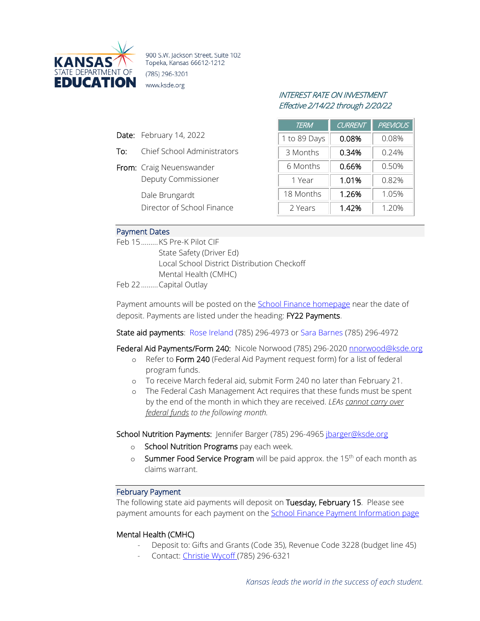

900 S.W. Jackson Street, Suite 102 Topeka, Kansas 66612-1212 (785) 296-3201 www.ksde.org

# INTEREST RATE ON INVESTMENT Effective 2/14/22 through 2/20/22

| <b>TERM</b>  | CURRENT | <b>PREVIOUS</b> |
|--------------|---------|-----------------|
| 1 to 89 Days | 0.08%   | 0.08%           |
| 3 Months     | 0.34%   | 0.24%           |
| 6 Months     | 0.66%   | 0.50%           |
| 1 Year       | 1.01%   | 0.82%           |
| 18 Months    | 1.26%   | 1.05%           |
| 2 Years      | 1.42%   | 1.20%           |

### Payment Dates

Feb 15.........KS Pre-K Pilot CIF State Safety (Driver Ed) Local School District Distribution Checkoff Mental Health (CMHC)

Feb 22.........Capital Outlay

Date: February 14, 2022

From: Craig Neuenswander

Dale Brungardt

To: Chief School Administrators

Deputy Commissioner

Director of School Finance

Payment amounts will be posted on the [School Finance homepage](http://www.ksde.org/Agency/Fiscal-and-Administrative-Services/School-Finance/Payment-Information) near the date of deposit. Payments are listed under the heading: FY22 Payments.

### State aid payments: [Rose Ireland](mailto:rireland@ksde.org) (785) 296-4973 o[r Sara Barnes](mailto:sbarnes@ksde.org) (785) 296-4972

Federal Aid Payments/Form 240: Nicole Norwood (785) 296-2020 [nnorwood@ksde.org](mailto:nnorwood@ksde.org)

- o Refer to Form 240 (Federal Aid Payment request form) for a list of federal program funds.
- o To receive March federal aid, submit Form 240 no later than February 21.
- o The Federal Cash Management Act requires that these funds must be spent by the end of the month in which they are received. *LEAs cannot carry over federal funds to the following month.*

School Nutrition Payments: Jennifer Barger (785) 296-4965 [jbarger@ksde.org](mailto:jbarger@ksde.org)

- o School Nutrition Programs pay each week.
- o Summer Food Service Program will be paid approx. the 15<sup>th</sup> of each month as claims warrant.

#### February Payment

The following state aid payments will deposit on Tuesday, February 15. Please see payment amounts for each payment on the **School Finance Payment Information page** 

### Mental Health (CMHC)

- Deposit to: Gifts and Grants (Code 35), Revenue Code 3228 (budget line 45)
- Contact: [Christie Wycoff \(](mailto:cwyckoff@ksde.org)785) 296-6321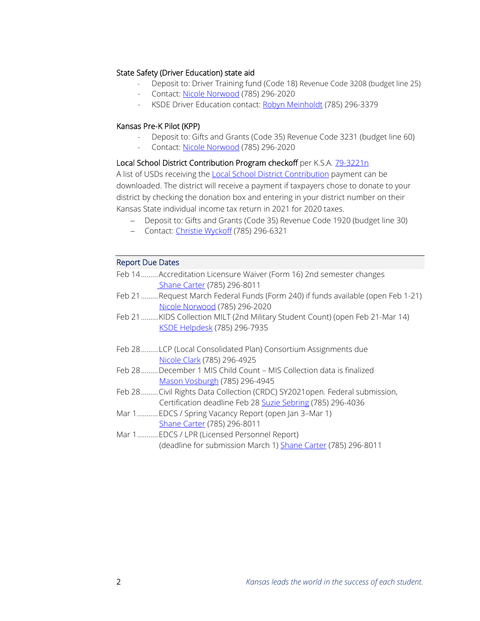## State Safety (Driver Education) state aid

- Deposit to: Driver Training fund (Code 18) Revenue Code 3208 (budget line 25)
- Contact: [Nicole Norwood](mailto:nnorwood@ksde.org) (785) 296-2020
- KSDE Driver Education contact: [Robyn Meinholdt](mailto:rmeinholdt@ksde.org) (785) 296-3379

## Kansas Pre-K Pilot (KPP)

- Deposit to: Gifts and Grants (Code 35) Revenue Code 3231 (budget line 60)
- Contact: [Nicole Norwood](mailto:nnorwood@ksde.org) (785) 296-2020

## Local School District Contribution Program checkoff per K.S.A. [79-3221n](http://ksrevisor.org/statutes/chapters/ch79/079_032_0021n.html)

A list of USDs receiving the [Local School District Contribution](https://www.ksde.org/Portals/0/School%20Finance/payment_information/Local%20School%20District%20CY%202021.pdf?ver=2022-01-31-154318-333) payment can be downloaded. The district will receive a payment if taxpayers chose to donate to your district by checking the donation box and entering in your district number on their Kansas State individual income tax return in 2021 for 2020 taxes.

- − Deposit to: Gifts and Grants (Code 35) Revenue Code 1920 (budget line 30)
- − Contact: [Christie Wyckoff](mailto:cwyckoff@ksde.org) (785) 296-6321

## Report Due Dates